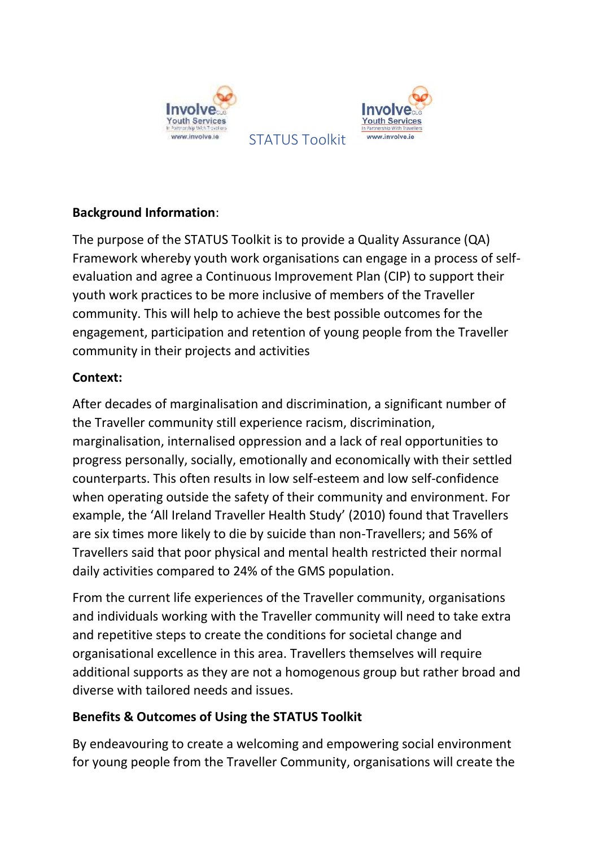



**Background Information**:

The purpose of the STATUS Toolkit is to provide a Quality Assurance (QA) Framework whereby youth work organisations can engage in a process of selfevaluation and agree a Continuous Improvement Plan (CIP) to support their youth work practices to be more inclusive of members of the Traveller community. This will help to achieve the best possible outcomes for the engagement, participation and retention of young people from the Traveller community in their projects and activities

STATUS Toolkit

## **Context:**

After decades of marginalisation and discrimination, a significant number of the Traveller community still experience racism, discrimination, marginalisation, internalised oppression and a lack of real opportunities to progress personally, socially, emotionally and economically with their settled counterparts. This often results in low self-esteem and low self-confidence when operating outside the safety of their community and environment. For example, the 'All Ireland Traveller Health Study' (2010) found that Travellers are six times more likely to die by suicide than non-Travellers; and 56% of Travellers said that poor physical and mental health restricted their normal daily activities compared to 24% of the GMS population.

From the current life experiences of the Traveller community, organisations and individuals working with the Traveller community will need to take extra and repetitive steps to create the conditions for societal change and organisational excellence in this area. Travellers themselves will require additional supports as they are not a homogenous group but rather broad and diverse with tailored needs and issues.

## **Benefits & Outcomes of Using the STATUS Toolkit**

By endeavouring to create a welcoming and empowering social environment for young people from the Traveller Community, organisations will create the